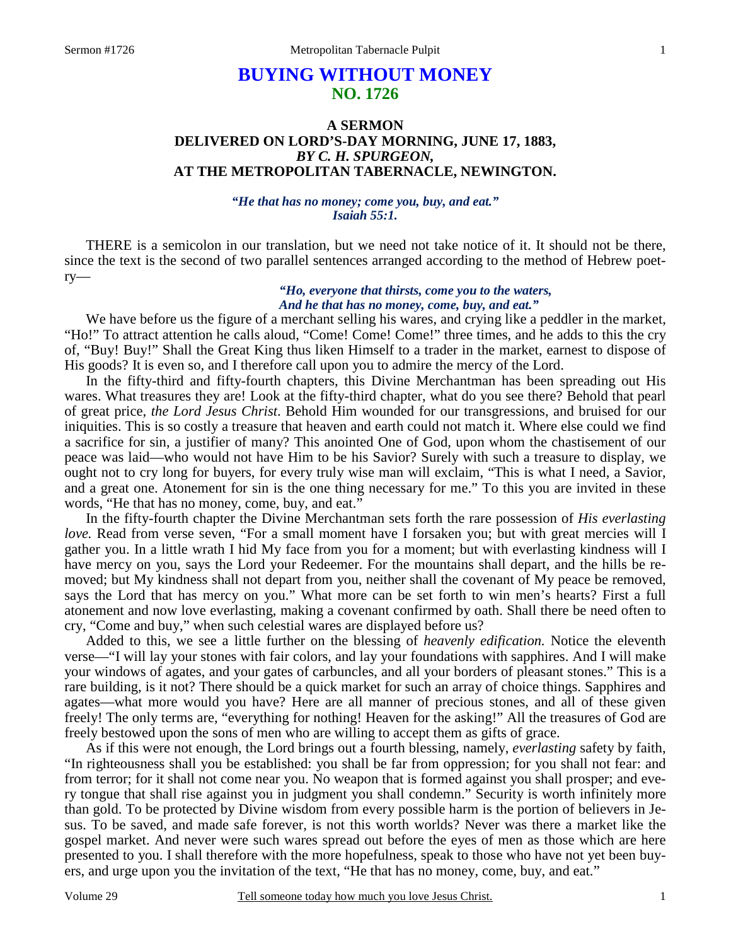# **BUYING WITHOUT MONEY NO. 1726**

# **A SERMON DELIVERED ON LORD'S-DAY MORNING, JUNE 17, 1883,**  *BY C. H. SPURGEON,*  **AT THE METROPOLITAN TABERNACLE, NEWINGTON.**

*"He that has no money; come you, buy, and eat." Isaiah 55:1.* 

THERE is a semicolon in our translation, but we need not take notice of it. It should not be there, since the text is the second of two parallel sentences arranged according to the method of Hebrew poetry—

### *"Ho, everyone that thirsts, come you to the waters, And he that has no money, come, buy, and eat."*

 We have before us the figure of a merchant selling his wares, and crying like a peddler in the market, "Ho!" To attract attention he calls aloud, "Come! Come! Come!" three times, and he adds to this the cry of, "Buy! Buy!" Shall the Great King thus liken Himself to a trader in the market, earnest to dispose of His goods? It is even so, and I therefore call upon you to admire the mercy of the Lord.

 In the fifty-third and fifty-fourth chapters, this Divine Merchantman has been spreading out His wares. What treasures they are! Look at the fifty-third chapter, what do you see there? Behold that pearl of great price, *the Lord Jesus Christ*. Behold Him wounded for our transgressions, and bruised for our iniquities. This is so costly a treasure that heaven and earth could not match it. Where else could we find a sacrifice for sin, a justifier of many? This anointed One of God, upon whom the chastisement of our peace was laid—who would not have Him to be his Savior? Surely with such a treasure to display, we ought not to cry long for buyers, for every truly wise man will exclaim, "This is what I need, a Savior, and a great one. Atonement for sin is the one thing necessary for me." To this you are invited in these words, "He that has no money, come, buy, and eat."

 In the fifty-fourth chapter the Divine Merchantman sets forth the rare possession of *His everlasting love.* Read from verse seven, "For a small moment have I forsaken you; but with great mercies will I gather you. In a little wrath I hid My face from you for a moment; but with everlasting kindness will I have mercy on you, says the Lord your Redeemer. For the mountains shall depart, and the hills be removed; but My kindness shall not depart from you, neither shall the covenant of My peace be removed, says the Lord that has mercy on you." What more can be set forth to win men's hearts? First a full atonement and now love everlasting, making a covenant confirmed by oath. Shall there be need often to cry, "Come and buy," when such celestial wares are displayed before us?

 Added to this, we see a little further on the blessing of *heavenly edification.* Notice the eleventh verse—"I will lay your stones with fair colors, and lay your foundations with sapphires. And I will make your windows of agates, and your gates of carbuncles, and all your borders of pleasant stones." This is a rare building, is it not? There should be a quick market for such an array of choice things. Sapphires and agates—what more would you have? Here are all manner of precious stones, and all of these given freely! The only terms are, "everything for nothing! Heaven for the asking!" All the treasures of God are freely bestowed upon the sons of men who are willing to accept them as gifts of grace.

 As if this were not enough, the Lord brings out a fourth blessing, namely, *everlasting* safety by faith, "In righteousness shall you be established: you shall be far from oppression; for you shall not fear: and from terror; for it shall not come near you. No weapon that is formed against you shall prosper; and every tongue that shall rise against you in judgment you shall condemn." Security is worth infinitely more than gold. To be protected by Divine wisdom from every possible harm is the portion of believers in Jesus. To be saved, and made safe forever, is not this worth worlds? Never was there a market like the gospel market. And never were such wares spread out before the eyes of men as those which are here presented to you. I shall therefore with the more hopefulness, speak to those who have not yet been buyers, and urge upon you the invitation of the text, "He that has no money, come, buy, and eat."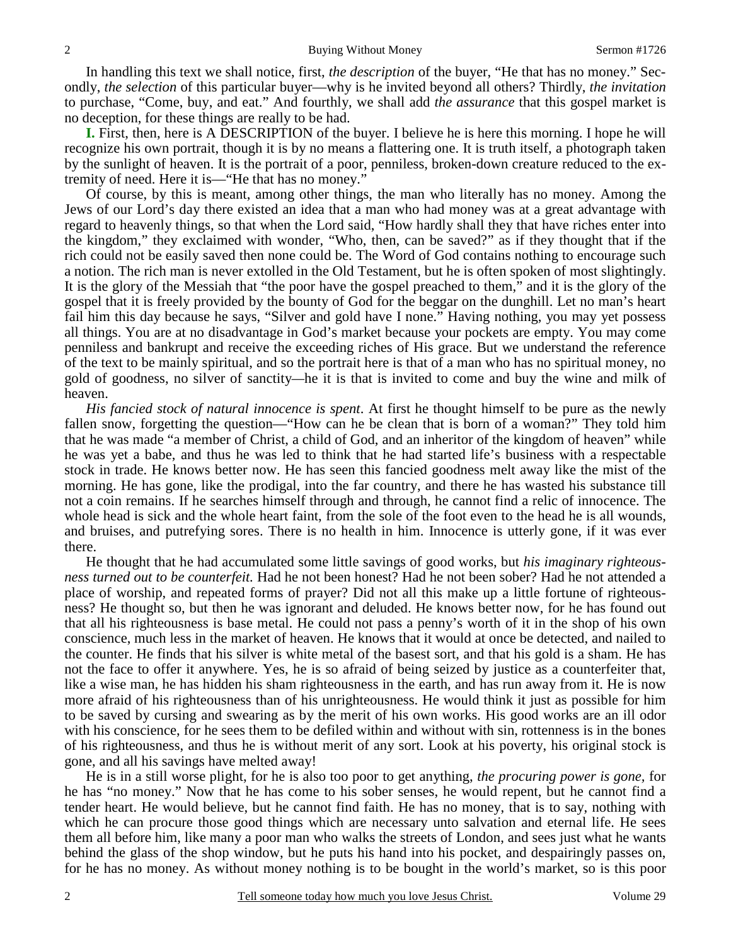In handling this text we shall notice, first, *the description* of the buyer, "He that has no money." Secondly, *the selection* of this particular buyer—why is he invited beyond all others? Thirdly, *the invitation* to purchase, "Come, buy, and eat." And fourthly, we shall add *the assurance* that this gospel market is no deception, for these things are really to be had.

**I.** First, then, here is A DESCRIPTION of the buyer. I believe he is here this morning. I hope he will recognize his own portrait, though it is by no means a flattering one. It is truth itself, a photograph taken by the sunlight of heaven. It is the portrait of a poor, penniless, broken-down creature reduced to the extremity of need. Here it is—"He that has no money."

 Of course, by this is meant, among other things, the man who literally has no money. Among the Jews of our Lord's day there existed an idea that a man who had money was at a great advantage with regard to heavenly things, so that when the Lord said, "How hardly shall they that have riches enter into the kingdom," they exclaimed with wonder, "Who, then, can be saved?" as if they thought that if the rich could not be easily saved then none could be. The Word of God contains nothing to encourage such a notion. The rich man is never extolled in the Old Testament, but he is often spoken of most slightingly. It is the glory of the Messiah that "the poor have the gospel preached to them," and it is the glory of the gospel that it is freely provided by the bounty of God for the beggar on the dunghill. Let no man's heart fail him this day because he says, "Silver and gold have I none." Having nothing, you may yet possess all things. You are at no disadvantage in God's market because your pockets are empty. You may come penniless and bankrupt and receive the exceeding riches of His grace. But we understand the reference of the text to be mainly spiritual, and so the portrait here is that of a man who has no spiritual money, no gold of goodness, no silver of sanctity*—*he it is that is invited to come and buy the wine and milk of heaven.

*His fancied stock of natural innocence is spent*. At first he thought himself to be pure as the newly fallen snow, forgetting the question—"How can he be clean that is born of a woman?" They told him that he was made "a member of Christ, a child of God, and an inheritor of the kingdom of heaven" while he was yet a babe, and thus he was led to think that he had started life's business with a respectable stock in trade. He knows better now. He has seen this fancied goodness melt away like the mist of the morning. He has gone, like the prodigal, into the far country, and there he has wasted his substance till not a coin remains. If he searches himself through and through, he cannot find a relic of innocence. The whole head is sick and the whole heart faint, from the sole of the foot even to the head he is all wounds, and bruises, and putrefying sores. There is no health in him. Innocence is utterly gone, if it was ever there.

 He thought that he had accumulated some little savings of good works, but *his imaginary righteousness turned out to be counterfeit.* Had he not been honest? Had he not been sober? Had he not attended a place of worship, and repeated forms of prayer? Did not all this make up a little fortune of righteousness? He thought so, but then he was ignorant and deluded. He knows better now, for he has found out that all his righteousness is base metal. He could not pass a penny's worth of it in the shop of his own conscience, much less in the market of heaven. He knows that it would at once be detected, and nailed to the counter. He finds that his silver is white metal of the basest sort, and that his gold is a sham. He has not the face to offer it anywhere. Yes, he is so afraid of being seized by justice as a counterfeiter that, like a wise man, he has hidden his sham righteousness in the earth, and has run away from it. He is now more afraid of his righteousness than of his unrighteousness. He would think it just as possible for him to be saved by cursing and swearing as by the merit of his own works. His good works are an ill odor with his conscience, for he sees them to be defiled within and without with sin, rottenness is in the bones of his righteousness, and thus he is without merit of any sort. Look at his poverty, his original stock is gone, and all his savings have melted away!

 He is in a still worse plight, for he is also too poor to get anything, *the procuring power is gone,* for he has "no money." Now that he has come to his sober senses, he would repent, but he cannot find a tender heart. He would believe, but he cannot find faith. He has no money, that is to say, nothing with which he can procure those good things which are necessary unto salvation and eternal life. He sees them all before him, like many a poor man who walks the streets of London, and sees just what he wants behind the glass of the shop window, but he puts his hand into his pocket, and despairingly passes on, for he has no money. As without money nothing is to be bought in the world's market, so is this poor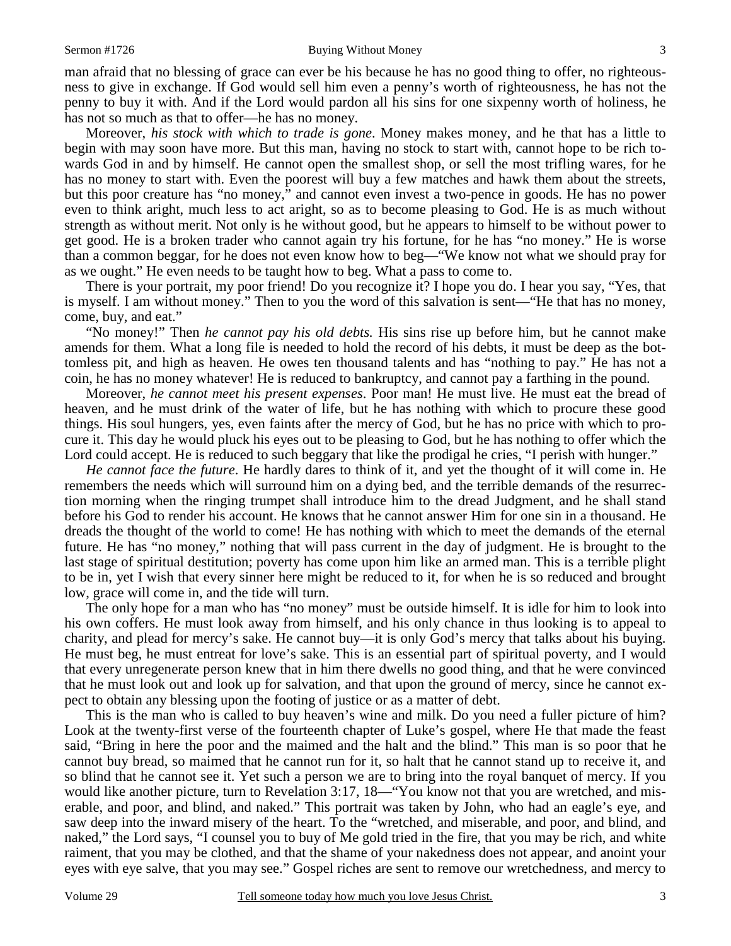#### Sermon #1726 **Buying Without Money** 3

man afraid that no blessing of grace can ever be his because he has no good thing to offer, no righteousness to give in exchange. If God would sell him even a penny's worth of righteousness, he has not the penny to buy it with. And if the Lord would pardon all his sins for one sixpenny worth of holiness, he has not so much as that to offer—he has no money.

 Moreover, *his stock with which to trade is gone*. Money makes money, and he that has a little to begin with may soon have more. But this man, having no stock to start with, cannot hope to be rich towards God in and by himself. He cannot open the smallest shop, or sell the most trifling wares, for he has no money to start with. Even the poorest will buy a few matches and hawk them about the streets, but this poor creature has "no money," and cannot even invest a two-pence in goods. He has no power even to think aright, much less to act aright, so as to become pleasing to God. He is as much without strength as without merit. Not only is he without good, but he appears to himself to be without power to get good. He is a broken trader who cannot again try his fortune, for he has "no money." He is worse than a common beggar, for he does not even know how to beg—"We know not what we should pray for as we ought." He even needs to be taught how to beg. What a pass to come to.

 There is your portrait, my poor friend! Do you recognize it? I hope you do. I hear you say, "Yes, that is myself. I am without money." Then to you the word of this salvation is sent—"He that has no money, come, buy, and eat."

 "No money!" Then *he cannot pay his old debts.* His sins rise up before him, but he cannot make amends for them. What a long file is needed to hold the record of his debts, it must be deep as the bottomless pit, and high as heaven. He owes ten thousand talents and has "nothing to pay." He has not a coin, he has no money whatever! He is reduced to bankruptcy, and cannot pay a farthing in the pound.

 Moreover, *he cannot meet his present expenses*. Poor man! He must live. He must eat the bread of heaven, and he must drink of the water of life, but he has nothing with which to procure these good things. His soul hungers, yes, even faints after the mercy of God, but he has no price with which to procure it. This day he would pluck his eyes out to be pleasing to God, but he has nothing to offer which the Lord could accept. He is reduced to such beggary that like the prodigal he cries, "I perish with hunger."

*He cannot face the future*. He hardly dares to think of it, and yet the thought of it will come in. He remembers the needs which will surround him on a dying bed, and the terrible demands of the resurrection morning when the ringing trumpet shall introduce him to the dread Judgment, and he shall stand before his God to render his account. He knows that he cannot answer Him for one sin in a thousand. He dreads the thought of the world to come! He has nothing with which to meet the demands of the eternal future. He has "no money," nothing that will pass current in the day of judgment. He is brought to the last stage of spiritual destitution; poverty has come upon him like an armed man. This is a terrible plight to be in, yet I wish that every sinner here might be reduced to it, for when he is so reduced and brought low, grace will come in, and the tide will turn.

 The only hope for a man who has "no money" must be outside himself. It is idle for him to look into his own coffers. He must look away from himself, and his only chance in thus looking is to appeal to charity, and plead for mercy's sake. He cannot buy—it is only God's mercy that talks about his buying. He must beg, he must entreat for love's sake. This is an essential part of spiritual poverty, and I would that every unregenerate person knew that in him there dwells no good thing, and that he were convinced that he must look out and look up for salvation, and that upon the ground of mercy, since he cannot expect to obtain any blessing upon the footing of justice or as a matter of debt.

 This is the man who is called to buy heaven's wine and milk. Do you need a fuller picture of him? Look at the twenty-first verse of the fourteenth chapter of Luke's gospel, where He that made the feast said, "Bring in here the poor and the maimed and the halt and the blind." This man is so poor that he cannot buy bread, so maimed that he cannot run for it, so halt that he cannot stand up to receive it, and so blind that he cannot see it. Yet such a person we are to bring into the royal banquet of mercy. If you would like another picture, turn to Revelation 3:17, 18—"You know not that you are wretched, and miserable, and poor, and blind, and naked." This portrait was taken by John, who had an eagle's eye, and saw deep into the inward misery of the heart. To the "wretched, and miserable, and poor, and blind, and naked," the Lord says, "I counsel you to buy of Me gold tried in the fire, that you may be rich, and white raiment, that you may be clothed, and that the shame of your nakedness does not appear, and anoint your eyes with eye salve, that you may see." Gospel riches are sent to remove our wretchedness, and mercy to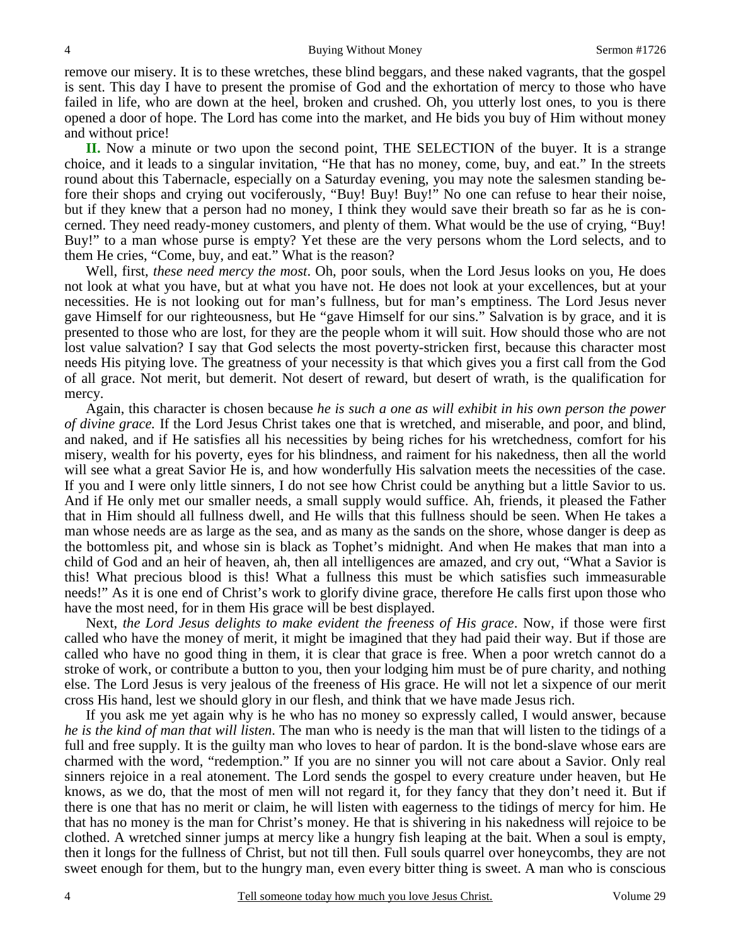remove our misery. It is to these wretches, these blind beggars, and these naked vagrants, that the gospel is sent. This day I have to present the promise of God and the exhortation of mercy to those who have failed in life, who are down at the heel, broken and crushed. Oh, you utterly lost ones, to you is there opened a door of hope. The Lord has come into the market, and He bids you buy of Him without money and without price!

**II.** Now a minute or two upon the second point, THE SELECTION of the buyer. It is a strange choice, and it leads to a singular invitation, "He that has no money, come, buy, and eat." In the streets round about this Tabernacle, especially on a Saturday evening, you may note the salesmen standing before their shops and crying out vociferously, "Buy! Buy! Buy!" No one can refuse to hear their noise, but if they knew that a person had no money, I think they would save their breath so far as he is concerned. They need ready-money customers, and plenty of them. What would be the use of crying, "Buy! Buy!" to a man whose purse is empty? Yet these are the very persons whom the Lord selects, and to them He cries, "Come, buy, and eat." What is the reason?

 Well, first, *these need mercy the most*. Oh, poor souls, when the Lord Jesus looks on you, He does not look at what you have, but at what you have not. He does not look at your excellences, but at your necessities. He is not looking out for man's fullness, but for man's emptiness. The Lord Jesus never gave Himself for our righteousness, but He "gave Himself for our sins." Salvation is by grace, and it is presented to those who are lost, for they are the people whom it will suit. How should those who are not lost value salvation? I say that God selects the most poverty-stricken first, because this character most needs His pitying love. The greatness of your necessity is that which gives you a first call from the God of all grace. Not merit, but demerit. Not desert of reward, but desert of wrath, is the qualification for mercy.

 Again, this character is chosen because *he is such a one as will exhibit in his own person the power of divine grace.* If the Lord Jesus Christ takes one that is wretched, and miserable, and poor, and blind, and naked, and if He satisfies all his necessities by being riches for his wretchedness, comfort for his misery, wealth for his poverty, eyes for his blindness, and raiment for his nakedness, then all the world will see what a great Savior He is, and how wonderfully His salvation meets the necessities of the case. If you and I were only little sinners, I do not see how Christ could be anything but a little Savior to us. And if He only met our smaller needs, a small supply would suffice. Ah, friends, it pleased the Father that in Him should all fullness dwell, and He wills that this fullness should be seen. When He takes a man whose needs are as large as the sea, and as many as the sands on the shore, whose danger is deep as the bottomless pit, and whose sin is black as Tophet's midnight. And when He makes that man into a child of God and an heir of heaven, ah, then all intelligences are amazed, and cry out, "What a Savior is this! What precious blood is this! What a fullness this must be which satisfies such immeasurable needs!" As it is one end of Christ's work to glorify divine grace, therefore He calls first upon those who have the most need, for in them His grace will be best displayed.

 Next, *the Lord Jesus delights to make evident the freeness of His grace*. Now, if those were first called who have the money of merit, it might be imagined that they had paid their way. But if those are called who have no good thing in them, it is clear that grace is free. When a poor wretch cannot do a stroke of work, or contribute a button to you, then your lodging him must be of pure charity, and nothing else. The Lord Jesus is very jealous of the freeness of His grace. He will not let a sixpence of our merit cross His hand, lest we should glory in our flesh, and think that we have made Jesus rich.

 If you ask me yet again why is he who has no money so expressly called, I would answer, because *he is the kind of man that will listen*. The man who is needy is the man that will listen to the tidings of a full and free supply. It is the guilty man who loves to hear of pardon. It is the bond-slave whose ears are charmed with the word, "redemption." If you are no sinner you will not care about a Savior. Only real sinners rejoice in a real atonement. The Lord sends the gospel to every creature under heaven, but He knows, as we do, that the most of men will not regard it, for they fancy that they don't need it. But if there is one that has no merit or claim, he will listen with eagerness to the tidings of mercy for him. He that has no money is the man for Christ's money. He that is shivering in his nakedness will rejoice to be clothed. A wretched sinner jumps at mercy like a hungry fish leaping at the bait. When a soul is empty, then it longs for the fullness of Christ, but not till then. Full souls quarrel over honeycombs, they are not sweet enough for them, but to the hungry man, even every bitter thing is sweet. A man who is conscious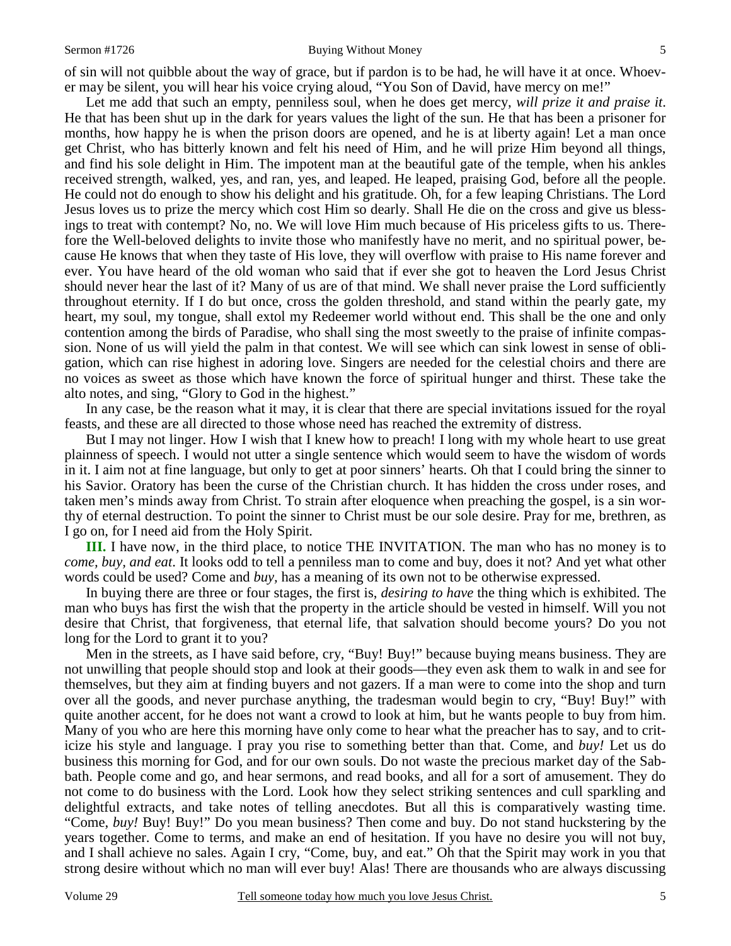#### Sermon #1726 **Buying Without Money** 5

of sin will not quibble about the way of grace, but if pardon is to be had, he will have it at once. Whoever may be silent, you will hear his voice crying aloud, "You Son of David, have mercy on me!"

 Let me add that such an empty, penniless soul, when he does get mercy, *will prize it and praise it*. He that has been shut up in the dark for years values the light of the sun. He that has been a prisoner for months, how happy he is when the prison doors are opened, and he is at liberty again! Let a man once get Christ, who has bitterly known and felt his need of Him, and he will prize Him beyond all things, and find his sole delight in Him. The impotent man at the beautiful gate of the temple, when his ankles received strength, walked, yes, and ran, yes, and leaped. He leaped, praising God, before all the people. He could not do enough to show his delight and his gratitude. Oh, for a few leaping Christians. The Lord Jesus loves us to prize the mercy which cost Him so dearly. Shall He die on the cross and give us blessings to treat with contempt? No, no. We will love Him much because of His priceless gifts to us. Therefore the Well-beloved delights to invite those who manifestly have no merit, and no spiritual power, because He knows that when they taste of His love, they will overflow with praise to His name forever and ever. You have heard of the old woman who said that if ever she got to heaven the Lord Jesus Christ should never hear the last of it? Many of us are of that mind. We shall never praise the Lord sufficiently throughout eternity. If I do but once, cross the golden threshold, and stand within the pearly gate, my heart, my soul, my tongue, shall extol my Redeemer world without end. This shall be the one and only contention among the birds of Paradise, who shall sing the most sweetly to the praise of infinite compassion. None of us will yield the palm in that contest. We will see which can sink lowest in sense of obligation, which can rise highest in adoring love. Singers are needed for the celestial choirs and there are no voices as sweet as those which have known the force of spiritual hunger and thirst. These take the alto notes, and sing, "Glory to God in the highest."

 In any case, be the reason what it may, it is clear that there are special invitations issued for the royal feasts, and these are all directed to those whose need has reached the extremity of distress.

 But I may not linger. How I wish that I knew how to preach! I long with my whole heart to use great plainness of speech. I would not utter a single sentence which would seem to have the wisdom of words in it. I aim not at fine language, but only to get at poor sinners' hearts. Oh that I could bring the sinner to his Savior. Oratory has been the curse of the Christian church. It has hidden the cross under roses, and taken men's minds away from Christ. To strain after eloquence when preaching the gospel, is a sin worthy of eternal destruction. To point the sinner to Christ must be our sole desire. Pray for me, brethren, as I go on, for I need aid from the Holy Spirit.

**III.** I have now, in the third place, to notice THE INVITATION. The man who has no money is to *come, buy, and eat*. It looks odd to tell a penniless man to come and buy, does it not? And yet what other words could be used? Come and *buy,* has a meaning of its own not to be otherwise expressed.

 In buying there are three or four stages, the first is, *desiring to have* the thing which is exhibited. The man who buys has first the wish that the property in the article should be vested in himself. Will you not desire that Christ, that forgiveness, that eternal life, that salvation should become yours? Do you not long for the Lord to grant it to you?

 Men in the streets, as I have said before, cry, "Buy! Buy!" because buying means business. They are not unwilling that people should stop and look at their goods—they even ask them to walk in and see for themselves, but they aim at finding buyers and not gazers. If a man were to come into the shop and turn over all the goods, and never purchase anything, the tradesman would begin to cry, "Buy! Buy!" with quite another accent, for he does not want a crowd to look at him, but he wants people to buy from him. Many of you who are here this morning have only come to hear what the preacher has to say, and to criticize his style and language. I pray you rise to something better than that. Come, and *buy!* Let us do business this morning for God, and for our own souls. Do not waste the precious market day of the Sabbath. People come and go, and hear sermons, and read books, and all for a sort of amusement. They do not come to do business with the Lord. Look how they select striking sentences and cull sparkling and delightful extracts, and take notes of telling anecdotes. But all this is comparatively wasting time. "Come, *buy!* Buy! Buy!" Do you mean business? Then come and buy. Do not stand huckstering by the years together. Come to terms, and make an end of hesitation. If you have no desire you will not buy, and I shall achieve no sales. Again I cry, "Come, buy, and eat." Oh that the Spirit may work in you that strong desire without which no man will ever buy! Alas! There are thousands who are always discussing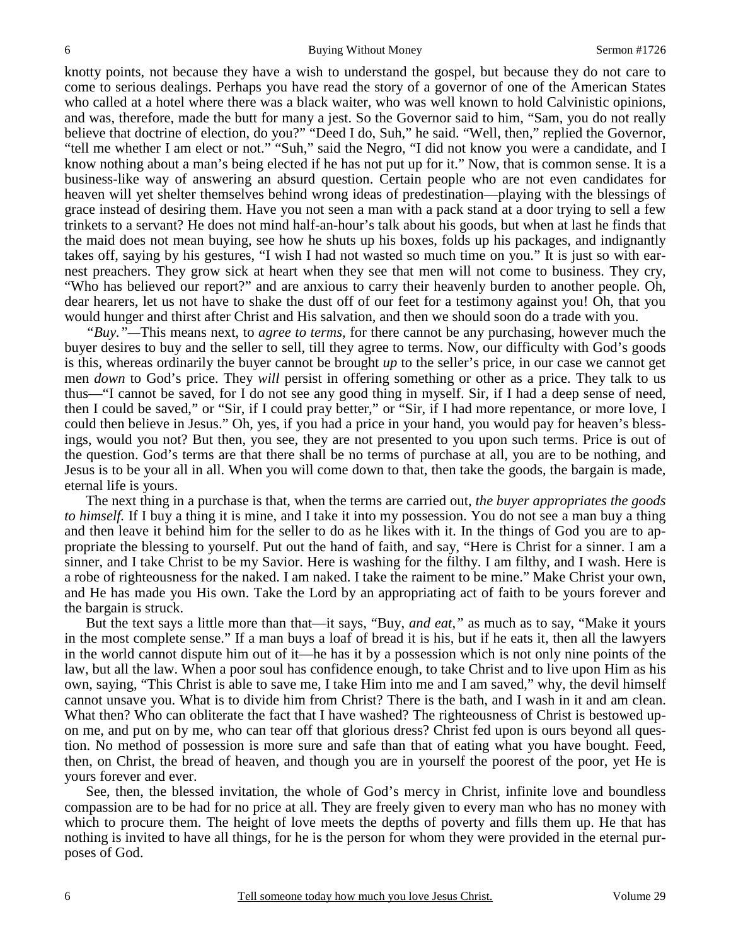knotty points, not because they have a wish to understand the gospel, but because they do not care to come to serious dealings. Perhaps you have read the story of a governor of one of the American States who called at a hotel where there was a black waiter, who was well known to hold Calvinistic opinions, and was, therefore, made the butt for many a jest. So the Governor said to him, "Sam, you do not really believe that doctrine of election, do you?" "Deed I do, Suh," he said. "Well, then," replied the Governor, "tell me whether I am elect or not." "Suh," said the Negro, "I did not know you were a candidate, and I know nothing about a man's being elected if he has not put up for it." Now, that is common sense. It is a business-like way of answering an absurd question. Certain people who are not even candidates for heaven will yet shelter themselves behind wrong ideas of predestination—playing with the blessings of grace instead of desiring them. Have you not seen a man with a pack stand at a door trying to sell a few trinkets to a servant? He does not mind half-an-hour's talk about his goods, but when at last he finds that the maid does not mean buying, see how he shuts up his boxes, folds up his packages, and indignantly takes off, saying by his gestures, "I wish I had not wasted so much time on you." It is just so with earnest preachers. They grow sick at heart when they see that men will not come to business. They cry, "Who has believed our report?" and are anxious to carry their heavenly burden to another people. Oh, dear hearers, let us not have to shake the dust off of our feet for a testimony against you! Oh, that you would hunger and thirst after Christ and His salvation, and then we should soon do a trade with you.

*"Buy."—*This means next, to *agree to terms,* for there cannot be any purchasing, however much the buyer desires to buy and the seller to sell, till they agree to terms. Now, our difficulty with God's goods is this, whereas ordinarily the buyer cannot be brought *up* to the seller's price, in our case we cannot get men *down* to God's price. They *will* persist in offering something or other as a price. They talk to us thus—"I cannot be saved, for I do not see any good thing in myself. Sir, if I had a deep sense of need, then I could be saved," or "Sir, if I could pray better," or "Sir, if I had more repentance, or more love, I could then believe in Jesus." Oh, yes, if you had a price in your hand, you would pay for heaven's blessings, would you not? But then, you see, they are not presented to you upon such terms. Price is out of the question. God's terms are that there shall be no terms of purchase at all, you are to be nothing, and Jesus is to be your all in all. When you will come down to that, then take the goods, the bargain is made, eternal life is yours.

 The next thing in a purchase is that, when the terms are carried out, *the buyer appropriates the goods to himself.* If I buy a thing it is mine, and I take it into my possession. You do not see a man buy a thing and then leave it behind him for the seller to do as he likes with it. In the things of God you are to appropriate the blessing to yourself. Put out the hand of faith, and say, "Here is Christ for a sinner. I am a sinner, and I take Christ to be my Savior. Here is washing for the filthy. I am filthy, and I wash. Here is a robe of righteousness for the naked. I am naked. I take the raiment to be mine." Make Christ your own, and He has made you His own. Take the Lord by an appropriating act of faith to be yours forever and the bargain is struck.

 But the text says a little more than that—it says, "Buy, *and eat,"* as much as to say, "Make it yours in the most complete sense." If a man buys a loaf of bread it is his, but if he eats it, then all the lawyers in the world cannot dispute him out of it—he has it by a possession which is not only nine points of the law, but all the law. When a poor soul has confidence enough, to take Christ and to live upon Him as his own, saying, "This Christ is able to save me, I take Him into me and I am saved," why, the devil himself cannot unsave you. What is to divide him from Christ? There is the bath, and I wash in it and am clean. What then? Who can obliterate the fact that I have washed? The righteousness of Christ is bestowed upon me, and put on by me, who can tear off that glorious dress? Christ fed upon is ours beyond all question. No method of possession is more sure and safe than that of eating what you have bought. Feed, then, on Christ, the bread of heaven, and though you are in yourself the poorest of the poor, yet He is yours forever and ever.

 See, then, the blessed invitation, the whole of God's mercy in Christ, infinite love and boundless compassion are to be had for no price at all. They are freely given to every man who has no money with which to procure them. The height of love meets the depths of poverty and fills them up. He that has nothing is invited to have all things, for he is the person for whom they were provided in the eternal purposes of God.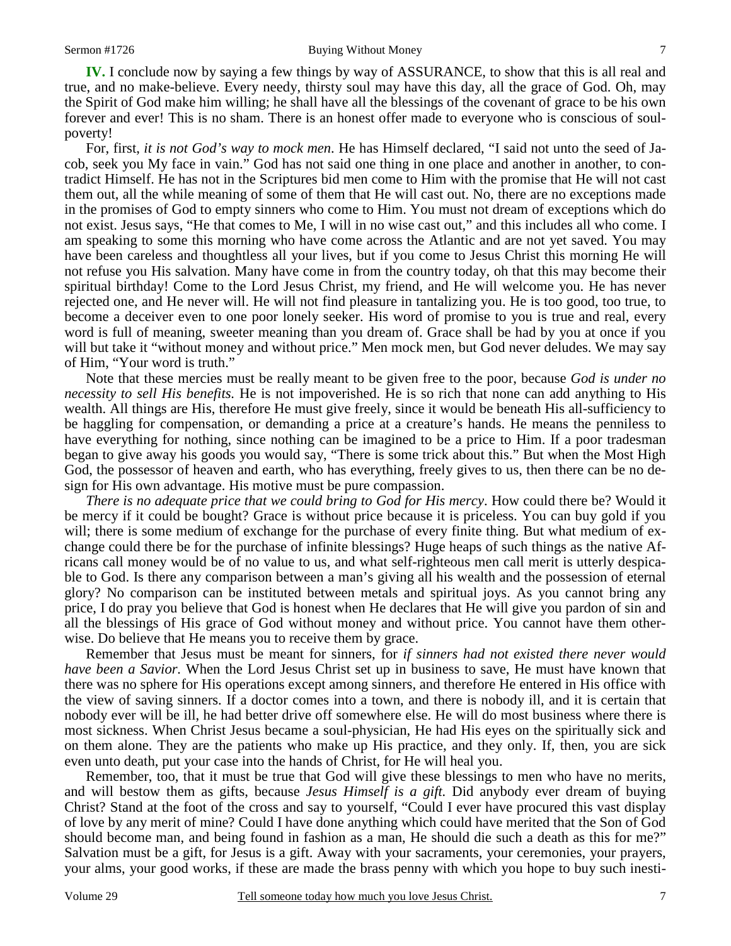**IV.** I conclude now by saying a few things by way of ASSURANCE, to show that this is all real and true, and no make-believe. Every needy, thirsty soul may have this day, all the grace of God. Oh, may the Spirit of God make him willing; he shall have all the blessings of the covenant of grace to be his own forever and ever! This is no sham. There is an honest offer made to everyone who is conscious of soulpoverty!

 For, first, *it is not God's way to mock men*. He has Himself declared, "I said not unto the seed of Jacob, seek you My face in vain." God has not said one thing in one place and another in another, to contradict Himself. He has not in the Scriptures bid men come to Him with the promise that He will not cast them out, all the while meaning of some of them that He will cast out. No, there are no exceptions made in the promises of God to empty sinners who come to Him. You must not dream of exceptions which do not exist. Jesus says, "He that comes to Me, I will in no wise cast out," and this includes all who come. I am speaking to some this morning who have come across the Atlantic and are not yet saved. You may have been careless and thoughtless all your lives, but if you come to Jesus Christ this morning He will not refuse you His salvation. Many have come in from the country today, oh that this may become their spiritual birthday! Come to the Lord Jesus Christ, my friend, and He will welcome you. He has never rejected one, and He never will. He will not find pleasure in tantalizing you. He is too good, too true, to become a deceiver even to one poor lonely seeker. His word of promise to you is true and real, every word is full of meaning, sweeter meaning than you dream of. Grace shall be had by you at once if you will but take it "without money and without price." Men mock men, but God never deludes. We may say of Him, "Your word is truth."

 Note that these mercies must be really meant to be given free to the poor, because *God is under no necessity to sell His benefits.* He is not impoverished. He is so rich that none can add anything to His wealth. All things are His, therefore He must give freely, since it would be beneath His all-sufficiency to be haggling for compensation, or demanding a price at a creature's hands. He means the penniless to have everything for nothing, since nothing can be imagined to be a price to Him. If a poor tradesman began to give away his goods you would say, "There is some trick about this." But when the Most High God, the possessor of heaven and earth, who has everything, freely gives to us, then there can be no design for His own advantage. His motive must be pure compassion.

*There is no adequate price that we could bring to God for His mercy*. How could there be? Would it be mercy if it could be bought? Grace is without price because it is priceless. You can buy gold if you will; there is some medium of exchange for the purchase of every finite thing. But what medium of exchange could there be for the purchase of infinite blessings? Huge heaps of such things as the native Africans call money would be of no value to us, and what self-righteous men call merit is utterly despicable to God. Is there any comparison between a man's giving all his wealth and the possession of eternal glory? No comparison can be instituted between metals and spiritual joys. As you cannot bring any price, I do pray you believe that God is honest when He declares that He will give you pardon of sin and all the blessings of His grace of God without money and without price. You cannot have them otherwise. Do believe that He means you to receive them by grace.

 Remember that Jesus must be meant for sinners, for *if sinners had not existed there never would have been a Savior.* When the Lord Jesus Christ set up in business to save, He must have known that there was no sphere for His operations except among sinners, and therefore He entered in His office with the view of saving sinners. If a doctor comes into a town, and there is nobody ill, and it is certain that nobody ever will be ill, he had better drive off somewhere else. He will do most business where there is most sickness. When Christ Jesus became a soul-physician, He had His eyes on the spiritually sick and on them alone. They are the patients who make up His practice, and they only. If, then, you are sick even unto death, put your case into the hands of Christ, for He will heal you.

 Remember, too, that it must be true that God will give these blessings to men who have no merits, and will bestow them as gifts, because *Jesus Himself is a gift.* Did anybody ever dream of buying Christ? Stand at the foot of the cross and say to yourself, "Could I ever have procured this vast display of love by any merit of mine? Could I have done anything which could have merited that the Son of God should become man, and being found in fashion as a man, He should die such a death as this for me?" Salvation must be a gift, for Jesus is a gift. Away with your sacraments, your ceremonies, your prayers, your alms, your good works, if these are made the brass penny with which you hope to buy such inesti